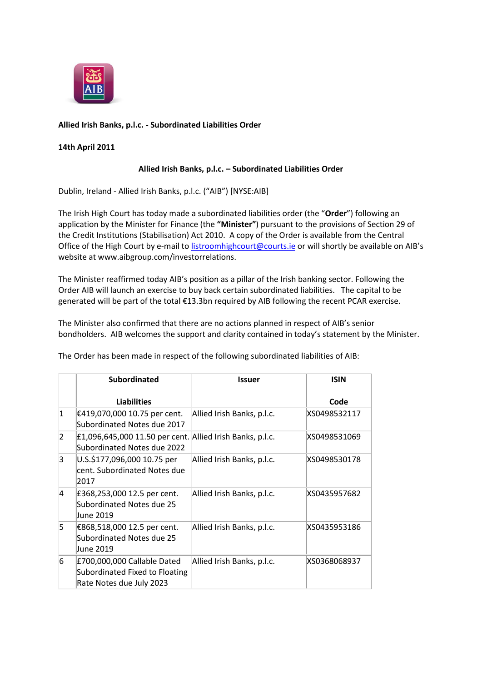

# **Allied Irish Banks, p.l.c. - Subordinated Liabilities Order**

## **14th April 2011**

## **Allied Irish Banks, p.l.c. – Subordinated Liabilities Order**

Dublin, Ireland - Allied Irish Banks, p.l.c. ("AIB") [NYSE:AIB]

The Irish High Court has today made a subordinated liabilities order (the "**Order**") following an application by the Minister for Finance (the **"Minister"**) pursuant to the provisions of Section 29 of the Credit Institutions (Stabilisation) Act 2010. A copy of the Order is available from the Central Office of the High Court by e-mail to [listroomhighcourt@courts.ie](mailto:listroomhighcourt@courts.ie) or will shortly be available on AIB's website at www.aibgroup.com/investorrelations.

The Minister reaffirmed today AIB's position as a pillar of the Irish banking sector. Following the Order AIB will launch an exercise to buy back certain subordinated liabilities. The capital to be generated will be part of the total €13.3bn required by AIB following the recent PCAR exercise.

The Minister also confirmed that there are no actions planned in respect of AIB's senior bondholders. AIB welcomes the support and clarity contained in today's statement by the Minister.

The Order has been made in respect of the following subordinated liabilities of AIB:

|                | <b>Subordinated</b>                                                                       | <b>Issuer</b>              | <b>ISIN</b>  |
|----------------|-------------------------------------------------------------------------------------------|----------------------------|--------------|
|                | <b>Liabilities</b>                                                                        |                            | Code         |
| $\mathbf{1}$   | €419,070,000 10.75 per cent.<br>Subordinated Notes due 2017                               | Allied Irish Banks, p.l.c. | XS0498532117 |
| 2              | £1,096,645,000 11.50 per cent. Allied Irish Banks, p.l.c.<br>Subordinated Notes due 2022  |                            | XS0498531069 |
| 3              | U.S.\$177,096,000 10.75 per<br>cent. Subordinated Notes due<br>2017                       | Allied Irish Banks, p.l.c. | XS0498530178 |
| $\overline{4}$ | £368,253,000 12.5 per cent.<br>Subordinated Notes due 25<br>June 2019                     | Allied Irish Banks, p.l.c. | XS0435957682 |
| 5              | €868,518,000 12.5 per cent.<br>Subordinated Notes due 25<br>June 2019                     | Allied Irish Banks, p.l.c. | XS0435953186 |
| 6              | £700,000,000 Callable Dated<br>Subordinated Fixed to Floating<br>Rate Notes due July 2023 | Allied Irish Banks, p.l.c. | XS0368068937 |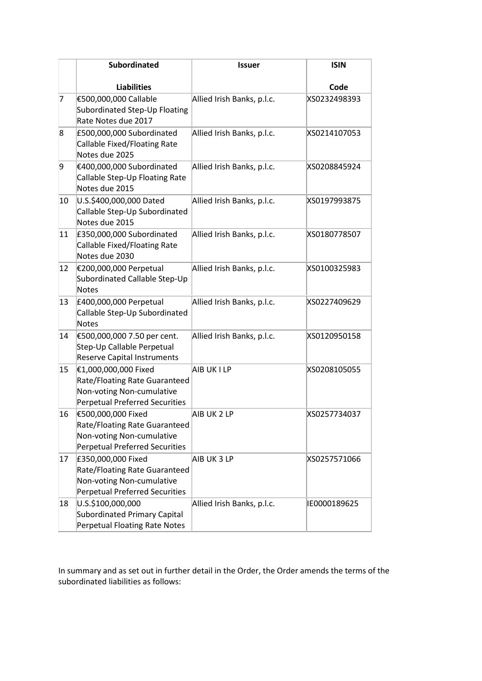|    | <b>Subordinated</b>                                                                                                         | <b>Issuer</b>              | <b>ISIN</b>  |
|----|-----------------------------------------------------------------------------------------------------------------------------|----------------------------|--------------|
|    | <b>Liabilities</b>                                                                                                          |                            | Code         |
| 7  | €500,000,000 Callable<br>Subordinated Step-Up Floating<br>Rate Notes due 2017                                               | Allied Irish Banks, p.l.c. | XS0232498393 |
| 8  | £500,000,000 Subordinated<br>Callable Fixed/Floating Rate<br>Notes due 2025                                                 | Allied Irish Banks, p.l.c. | XS0214107053 |
| 9  | €400,000,000 Subordinated<br>Callable Step-Up Floating Rate<br>Notes due 2015                                               | Allied Irish Banks, p.l.c. | XS0208845924 |
| 10 | U.S.\$400,000,000 Dated<br>Callable Step-Up Subordinated<br>Notes due 2015                                                  | Allied Irish Banks, p.l.c. | XS0197993875 |
| 11 | £350,000,000 Subordinated<br>Callable Fixed/Floating Rate<br>Notes due 2030                                                 | Allied Irish Banks, p.l.c. | XS0180778507 |
| 12 | €200,000,000 Perpetual<br>Subordinated Callable Step-Up<br>Notes                                                            | Allied Irish Banks, p.l.c. | XS0100325983 |
| 13 | £400,000,000 Perpetual<br>Callable Step-Up Subordinated<br>Notes                                                            | Allied Irish Banks, p.l.c. | XS0227409629 |
| 14 | €500,000,000 7.50 per cent.<br>Step-Up Callable Perpetual<br><b>Reserve Capital Instruments</b>                             | Allied Irish Banks, p.l.c. | XS0120950158 |
| 15 | €1,000,000,000 Fixed<br>Rate/Floating Rate Guaranteed<br>Non-voting Non-cumulative<br><b>Perpetual Preferred Securities</b> | AIB UK I LP                | XS0208105055 |
| 16 | €500,000,000 Fixed<br>Rate/Floating Rate Guaranteed<br>Non-voting Non-cumulative<br>Perpetual Preferred Securities          | AIB UK 2 LP                | XS0257734037 |
| 17 | £350,000,000 Fixed<br>Rate/Floating Rate Guaranteed<br>Non-voting Non-cumulative<br><b>Perpetual Preferred Securities</b>   | AIB UK 3 LP                | XS0257571066 |
| 18 | U.S.\$100,000,000<br>Subordinated Primary Capital<br>Perpetual Floating Rate Notes                                          | Allied Irish Banks, p.l.c. | IE0000189625 |

In summary and as set out in further detail in the Order, the Order amends the terms of the subordinated liabilities as follows: